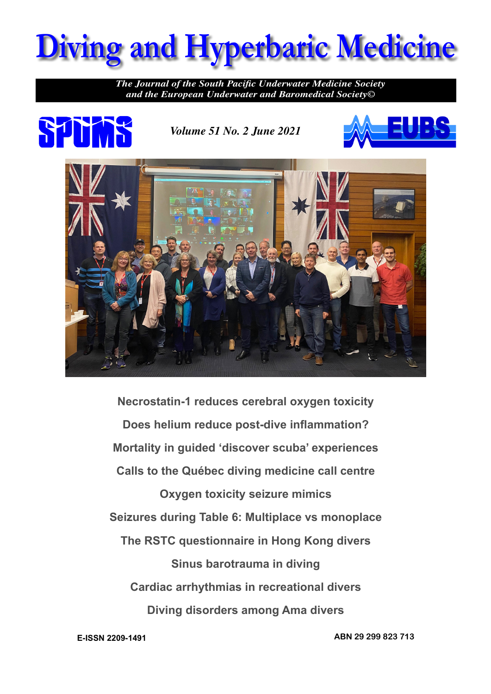

*The Journal of the South Pacific Underwater Medicine Society and the European Underwater and Baromedical Society©*



*Volume 51 No. 2 June 2021*





**Necrostatin-1 reduces cerebral oxygen toxicity Does helium reduce post-dive inflammation? Mortality in guided 'discover scuba' experiences Calls to the Québec diving medicine call centre Oxygen toxicity seizure mimics Seizures during Table 6: Multiplace vs monoplace The RSTC questionnaire in Hong Kong divers Sinus barotrauma in diving Cardiac arrhythmias in recreational divers Diving disorders among Ama divers**

**E-ISSN 2209-1491 ABN 29 299 823 713**